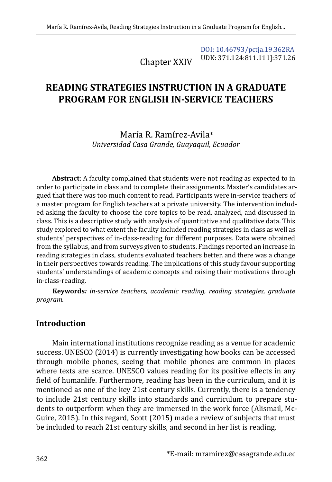Chapter XXIV [DOI: 10.46793/pctja.19.362RA](https://doi.org/10.46793/pctja.19.362RA) UDK: 371.124:811.111]:371.26

# **READING STRATEGIES INSTRUCTION IN A GRADUATE PROGRAM FOR ENGLISH IN-SERVICE TEACHERS**

María R. Ramírez-Avila\* *Universidad Casa Grande, Guayaquil, Ecuador*

**Abstract**: A faculty complained that students were not reading as expected to in order to participate in class and to complete their assignments. Master's candidates argued that there was too much content to read. Participants were in-service teachers of a master program for English teachers at a private university. The intervention included asking the faculty to choose the core topics to be read, analyzed, and discussed in class. This is a descriptive study with analysis of quantitative and qualitative data. This study explored to what extent the faculty included reading strategies in class as well as students' perspectives of in-class-reading for different purposes. Data were obtained from the syllabus, and from surveys given to students. Findings reported an increase in reading strategies in class, students evaluated teachers better, and there was a change in their perspectives towards reading. The implications of this study favour supporting students' understandings of academic concepts and raising their motivations through in-class-reading.

**Keywords***: in-service teachers, academic reading, reading strategies, graduate program.* 

#### **Introduction**

Main international institutions recognize reading as a venue for academic success. UNESCO (2014) is currently investigating how books can be accessed through mobile phones, seeing that mobile phones are common in places where texts are scarce. UNESCO values reading for its positive effects in any field of humanlife. Furthermore, reading has been in the curriculum, and it is mentioned as one of the key 21st century skills. Currently, there is a tendency to include 21st century skills into standards and curriculum to prepare students to outperform when they are immersed in the work force (Alismail, Mc-Guire, 2015). In this regard, Scott (2015) made a review of subjects that must be included to reach 21st century skills, and second in her list is reading.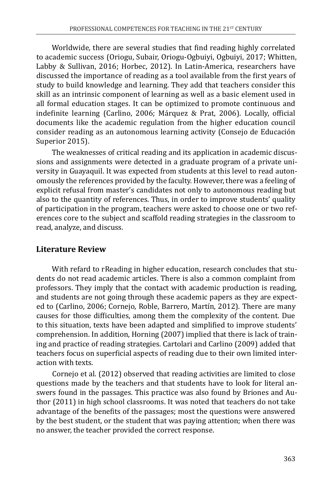Worldwide, there are several studies that find reading highly correlated to academic success (Oriogu, Subair, Oriogu-Ogbuiyi, Ogbuiyi, 2017; Whitten, Labby & Sullivan, 2016; Horbec, 2012). In Latin-America, researchers have discussed the importance of reading as a tool available from the first years of study to build knowledge and learning. They add that teachers consider this skill as an intrinsic component of learning as well as a basic element used in all formal education stages. It can be optimized to promote continuous and indefinite learning (Carlino, 2006; Márquez & Prat, 2006). Locally, official documents like the academic regulation from the higher education council consider reading as an autonomous learning activity (Consejo de Educación Superior 2015).

The weaknesses of critical reading and its application in academic discussions and assignments were detected in a graduate program of a private university in Guayaquil. It was expected from students at this level to read autonomously the references provided by the faculty. However, there was a feeling of explicit refusal from master's candidates not only to autonomous reading but also to the quantity of references. Thus, in order to improve students' quality of participation in the program, teachers were asked to choose one or two references core to the subject and scaffold reading strategies in the classroom to read, analyze, and discuss.

## **Literature Review**

With refard to rReading in higher education, research concludes that students do not read academic articles. There is also a common complaint from professors. They imply that the contact with academic production is reading, and students are not going through these academic papers as they are expected to (Carlino, 2006; Cornejo, Roble, Barrero, Martín, 2012). There are many causes for those difficulties, among them the complexity of the content. Due to this situation, texts have been adapted and simplified to improve students' comprehension. In addition, Horning (2007) implied that there is lack of training and practice of reading strategies. Cartolari and Carlino (2009) added that teachers focus on superficial aspects of reading due to their own limited interaction with texts.

Cornejo et al. (2012) observed that reading activities are limited to close questions made by the teachers and that students have to look for literal answers found in the passages. This practice was also found by Briones and Author (2011) in high school classrooms. It was noted that teachers do not take advantage of the benefits of the passages; most the questions were answered by the best student, or the student that was paying attention; when there was no answer, the teacher provided the correct response.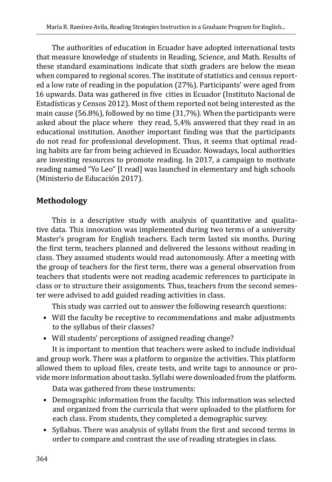The authorities of education in Ecuador have adopted international tests that measure knowledge of students in Reading, Science, and Math. Results of these standard examinations indicate that sixth graders are below the mean when compared to regional scores. The institute of statistics and census reported a low rate of reading in the population (27%). Participants' were aged from 16 upwards. Data was gathered in five cities in Ecuador (Instituto Nacional de Estadísticas y Censos 2012). Most of them reported not being interested as the main cause (56.8%), followed by no time (31,7%). When the participants were asked about the place where they read, 5,4% answered that they read in an educational institution. Another important finding was that the participants do not read for professional development. Thus, it seems that optimal reading habits are far from being achieved in Ecuador. Nowadays, local authorities are investing resources to promote reading. In 2017, a campaign to motivate reading named "Yo Leo" [I read] was launched in elementary and high schools (Ministerio de Educación 2017).

## **Methodology**

This is a descriptive study with analysis of quantitative and qualitative data. This innovation was implemented during two terms of a university Master's program for English teachers. Each term lasted six months. During the first term, teachers planned and delivered the lessons without reading in class. They assumed students would read autonomously. After a meeting with the group of teachers for the first term, there was a general observation from teachers that students were not reading academic references to participate in class or to structure their assignments. Thus, teachers from the second semester were advised to add guided reading activities in class.

This study was carried out to answer the following research questions:

- Will the faculty be receptive to recommendations and make adjustments to the syllabus of their classes?
- Will students' perceptions of assigned reading change?

It is important to mention that teachers were asked to include individual and group work. There was a platform to organize the activities. This platform allowed them to upload files, create tests, and write tags to announce or provide more information about tasks. Syllabi were downloaded from the platform.

Data was gathered from these instruments:

- Demographic information from the faculty. This information was selected and organized from the curricula that were uploaded to the platform for each class. From students, they completed a demographic survey.
- Syllabus. There was analysis of syllabi from the first and second terms in order to compare and contrast the use of reading strategies in class.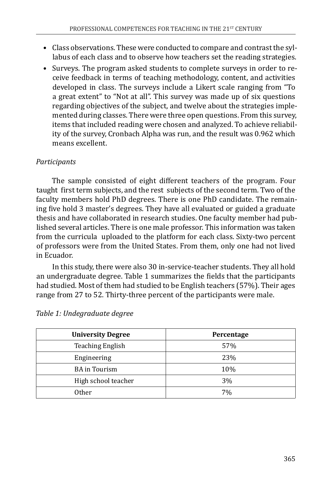- Class observations. These were conducted to compare and contrast the syllabus of each class and to observe how teachers set the reading strategies.
- Surveys. The program asked students to complete surveys in order to receive feedback in terms of teaching methodology, content, and activities developed in class. The surveys include a Likert scale ranging from "To a great extent" to "Not at all". This survey was made up of six questions regarding objectives of the subject, and twelve about the strategies implemented during classes. There were three open questions. From this survey, items that included reading were chosen and analyzed. To achieve reliability of the survey, Cronbach Alpha was run, and the result was 0.962 which means excellent.

## *Participants*

The sample consisted of eight different teachers of the program. Four taught first term subjects, and the rest subjects of the second term. Two of the faculty members hold PhD degrees. There is one PhD candidate. The remaining five hold 3 master's degrees. They have all evaluated or guided a graduate thesis and have collaborated in research studies. One faculty member had published several articles. There is one male professor. This information was taken from the curricula uploaded to the platform for each class. Sixty-two percent of professors were from the United States. From them, only one had not lived in Ecuador.

In this study, there were also 30 in-service-teacher students. They all hold an undergraduate degree. Table 1 summarizes the fields that the participants had studied. Most of them had studied to be English teachers (57%). Their ages range from 27 to 52. Thirty-three percent of the participants were male.

| <b>University Degree</b> | Percentage |
|--------------------------|------------|
| <b>Teaching English</b>  | 57%        |
| Engineering              | 23%        |
| <b>BA</b> in Tourism     | 10%        |
| High school teacher      | 3%         |
| Other                    | 7%         |

|  | Table 1: Undegraduate degree |  |
|--|------------------------------|--|
|--|------------------------------|--|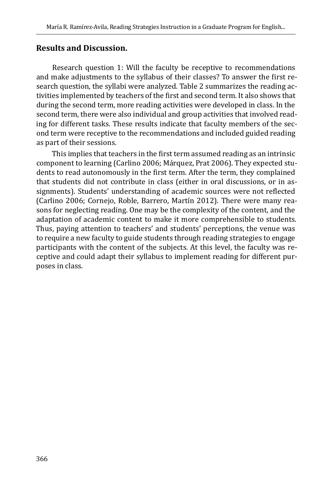#### **Results and Discussion.**

Research question 1: Will the faculty be receptive to recommendations and make adjustments to the syllabus of their classes? To answer the first research question, the syllabi were analyzed. Table 2 summarizes the reading activities implemented by teachers of the first and second term. It also shows that during the second term, more reading activities were developed in class. In the second term, there were also individual and group activities that involved reading for different tasks. These results indicate that faculty members of the second term were receptive to the recommendations and included guided reading as part of their sessions.

This implies that teachers in the first term assumed reading as an intrinsic component to learning (Carlino 2006; Márquez, Prat 2006). They expected students to read autonomously in the first term. After the term, they complained that students did not contribute in class (either in oral discussions, or in assignments). Students' understanding of academic sources were not reflected (Carlino 2006; Cornejo, Roble, Barrero, Martín 2012). There were many reasons for neglecting reading. One may be the complexity of the content, and the adaptation of academic content to make it more comprehensible to students. Thus, paying attention to teachers' and students' perceptions, the venue was to require a new faculty to guide students through reading strategies to engage participants with the content of the subjects. At this level, the faculty was receptive and could adapt their syllabus to implement reading for different purposes in class.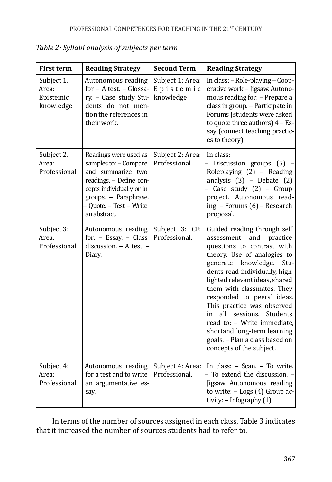| <b>First term</b>                             | <b>Reading Strategy</b>                                                                                                                                                                        | <b>Second Term</b>                         | <b>Reading Strategy</b>                                                                                                                                                                                                                                                                                                                                                                                                                                                            |
|-----------------------------------------------|------------------------------------------------------------------------------------------------------------------------------------------------------------------------------------------------|--------------------------------------------|------------------------------------------------------------------------------------------------------------------------------------------------------------------------------------------------------------------------------------------------------------------------------------------------------------------------------------------------------------------------------------------------------------------------------------------------------------------------------------|
| Subject 1.<br>Area:<br>Epistemic<br>knowledge | Autonomous reading<br>for - A test. - Glossa-<br>ry. - Case study Stu-<br>dents do not men-<br>tion the references in<br>their work.                                                           | Subject 1: Area:<br>Epistemic<br>knowledge | In class: - Role-playing - Coop-<br>erative work - Jigsaw. Autono-<br>mous reading for: - Prepare a<br>class in group. - Participate in<br>Forums (students were asked<br>to quote three authors) $4 - Es$ -<br>say (connect teaching practic-<br>es to theory).                                                                                                                                                                                                                   |
| Subject 2.<br>Area:<br>Professional           | Readings were used as<br>samples to: - Compare<br>and summarize two<br>readings. - Define con-<br>cepts individually or in<br>groups. - Paraphrase.<br>- Quote. - Test - Write<br>an abstract. | Subject 2: Area:<br>Professional.          | In class:<br>Discussion groups (5) -<br>Roleplaying (2) - Reading<br>analysis $(3)$ - Debate $(2)$<br>- Case study (2) - Group<br>project. Autonomous read-<br>ing: - Forums (6) - Research<br>proposal.                                                                                                                                                                                                                                                                           |
| Subject 3:<br>Area:<br>Professional           | Autonomous reading<br>for: $-$ Essay. $-$ Class<br>discussion. - A test. -<br>Diary.                                                                                                           | Subject 3: CF:<br>Professional.            | Guided reading through self<br>assessment<br>and<br>practice<br>questions to contrast with<br>theory. Use of analogies to<br>generate knowledge.<br>Stu-<br>dents read individually, high-<br>lighted relevant ideas, shared<br>them with classmates. They<br>responded to peers' ideas.<br>This practice was observed<br>all sessions. Students<br>in<br>read to: - Write immediate,<br>shortand long-term learning<br>goals. - Plan a class based on<br>concepts of the subject. |
| Subject 4:<br>Area:<br>Professional           | Autonomous reading<br>for a test and to write<br>an argumentative es-<br>say.                                                                                                                  | Subject 4: Area:<br>Professional.          | In class: - Scan. - To write.<br>- To extend the discussion. -<br>Jigsaw Autonomous reading<br>to write: $-$ Logs (4) Group ac-<br>tivity: $-$ Infography $(1)$                                                                                                                                                                                                                                                                                                                    |

| Table 2: Syllabi analysis of subjects per term |  |  |  |
|------------------------------------------------|--|--|--|
|------------------------------------------------|--|--|--|

In terms of the number of sources assigned in each class, Table 3 indicates that it increased the number of sources students had to refer to.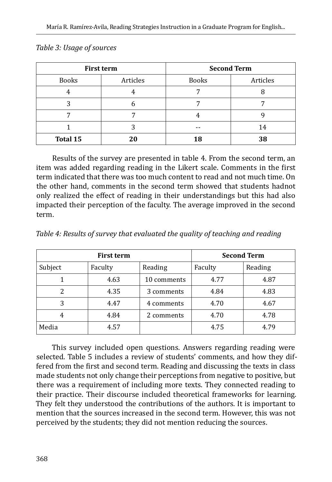| <b>First term</b> |          | <b>Second Term</b> |          |  |
|-------------------|----------|--------------------|----------|--|
| <b>Books</b>      | Articles | <b>Books</b>       | Articles |  |
|                   |          |                    |          |  |
|                   |          |                    |          |  |
|                   |          |                    |          |  |
|                   | .C       |                    | 14       |  |
| <b>Total 15</b>   | 20       | 18                 | 38       |  |

*Table 3: Usage of sources* 

Results of the survey are presented in table 4. From the second term, an item was added regarding reading in the Likert scale. Comments in the first term indicated that there was too much content to read and not much time. On the other hand, comments in the second term showed that students hadnot only realized the effect of reading in their understandings but this had also impacted their perception of the faculty. The average improved in the second term.

| <b>First term</b> |         | <b>Second Term</b> |         |         |
|-------------------|---------|--------------------|---------|---------|
| Subject           | Faculty | Reading            | Faculty | Reading |
|                   | 4.63    | 10 comments        | 4.77    | 4.87    |
| 2                 | 4.35    | 3 comments         | 4.84    | 4.83    |
| 3                 | 4.47    | 4 comments         | 4.70    | 4.67    |
| 4                 | 4.84    | 2 comments         | 4.70    | 4.78    |
| Media             | 4.57    |                    | 4.75    | 4.79    |

*Table 4: Results of survey that evaluated the quality of teaching and reading*

This survey included open questions. Answers regarding reading were selected. Table 5 includes a review of students' comments, and how they differed from the first and second term. Reading and discussing the texts in class made students not only change their perceptions from negative to positive, but there was a requirement of including more texts. They connected reading to their practice. Their discourse included theoretical frameworks for learning. They felt they understood the contributions of the authors. It is important to mention that the sources increased in the second term. However, this was not perceived by the students; they did not mention reducing the sources.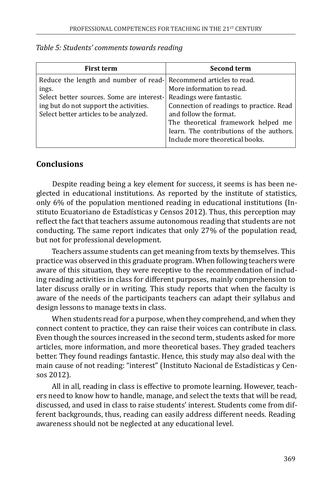| <b>First term</b>                                                                                                                                                                                           | <b>Second term</b>                                                                                                                                                                                             |
|-------------------------------------------------------------------------------------------------------------------------------------------------------------------------------------------------------------|----------------------------------------------------------------------------------------------------------------------------------------------------------------------------------------------------------------|
| Reduce the length and number of read- Recommend articles to read.<br>ings.<br>Select better sources. Some are interest-<br>ing but do not support the activities.<br>Select better articles to be analyzed. | More information to read.<br>Readings were fantastic.<br>Connection of readings to practice. Read<br>and follow the format.<br>The theoretical framework helped me<br>learn. The contributions of the authors. |
|                                                                                                                                                                                                             | Include more theoretical books.                                                                                                                                                                                |

#### *Table 5: Students' comments towards reading*

#### **Conclusions**

Despite reading being a key element for success, it seems is has been neglected in educational institutions. As reported by the institute of statistics, only 6% of the population mentioned reading in educational institutions (Instituto Ecuatoriano de Estadísticas y Censos 2012). Thus, this perception may reflect the fact that teachers assume autonomous reading that students are not conducting. The same report indicates that only 27% of the population read, but not for professional development.

Teachers assume students can get meaning from texts by themselves. This practice was observed in this graduate program. When following teachers were aware of this situation, they were receptive to the recommendation of including reading activities in class for different purposes, mainly comprehension to later discuss orally or in writing. This study reports that when the faculty is aware of the needs of the participants teachers can adapt their syllabus and design lessons to manage texts in class.

When students read for a purpose, when they comprehend, and when they connect content to practice, they can raise their voices can contribute in class. Even though the sources increased in the second term, students asked for more articles, more information, and more theoretical bases. They graded teachers better. They found readings fantastic. Hence, this study may also deal with the main cause of not reading: "interest" (Instituto Nacional de Estadísticas y Censos 2012).

All in all, reading in class is effective to promote learning. However, teachers need to know how to handle, manage, and select the texts that will be read, discussed, and used in class to raise students' interest. Students come from different backgrounds, thus, reading can easily address different needs. Reading awareness should not be neglected at any educational level.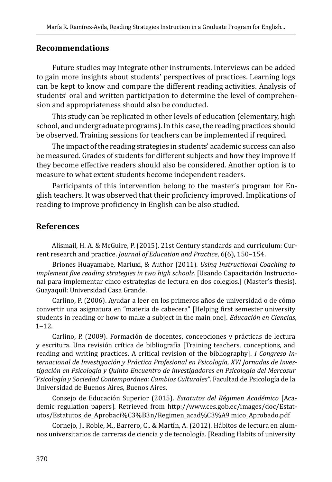#### **Recommendations**

Future studies may integrate other instruments. Interviews can be added to gain more insights about students' perspectives of practices. Learning logs can be kept to know and compare the different reading activities. Analysis of students' oral and written participation to determine the level of comprehension and appropriateness should also be conducted.

This study can be replicated in other levels of education (elementary, high school, and undergraduate programs). In this case, the reading practices should be observed. Training sessions for teachers can be implemented if required.

The impact of the reading strategies in students' academic success can also be measured. Grades of students for different subjects and how they improve if they become effective readers should also be considered. Another option is to measure to what extent students become independent readers.

Participants of this intervention belong to the master's program for English teachers. It was observed that their proficiency improved. Implications of reading to improve proficiency in English can be also studied.

#### **References**

Alismail, H. A. & McGuire, P. (2015). 21st Century standards and curriculum: Current research and practice. *Journal of Education and Practice*, 6(6), 150-154.

Briones Huayamabe, Mariuxi, & Author (2011). *Using Instructional Coaching to implement five reading strategies in two high schools.* [Usando Capacitación Instruccional para implementar cinco estrategias de lectura en dos colegios.] (Master's thesis). Guayaquil: Universidad Casa Grande.

Carlino, P. (2006). Ayudar a leer en los primeros años de universidad o de cómo convertir una asignatura en "materia de cabecera" [Helping first semester university students in reading or how to make a subject in the main one]. *Educación en Ciencias*,  $1 - 12$ .

Carlino, P. (2009). Formación de docentes, concepciones y prácticas de lectura y escritura. Una revisión crítica de bibliografía [Training teachers, conceptions, and reading and writing practices. A critical revision of the bibliography]. *I Congreso Internacional de Investigación y Práctica Profesional en Psicología, XVI Jornadas de Investigación en Psicología y Quinto Encuentro de investigadores en Psicología del Mercosur "Psicología y Sociedad Contemporánea: Cambios Culturales"*. Facultad de Psicología de la Universidad de Buenos Aires, Buenos Aires.

Consejo de Educación Superior (2015). *Estatutos del Régimen Académico* [Academic regulation papers]. Retrieved from http://www.ces.gob.ec/images/doc/Estatutos/Estatutos\_de\_Aprobaci%C3%B3n/Regimen\_acad%C3%A9 mico\_Aprobado.pdf

Cornejo, J., Roble, M., Barrero, C., & Martín, A. (2012). Hábitos de lectura en alumnos universitarios de carreras de ciencia y de tecnología. [Reading Habits of university